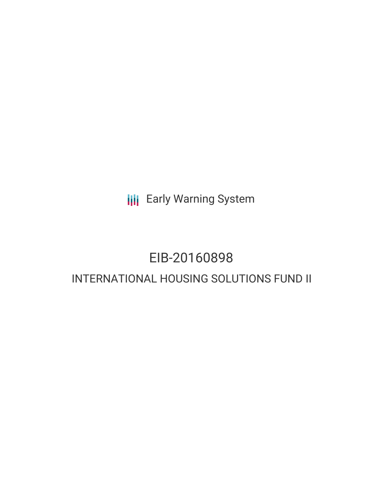**III** Early Warning System

# EIB-20160898

# INTERNATIONAL HOUSING SOLUTIONS FUND II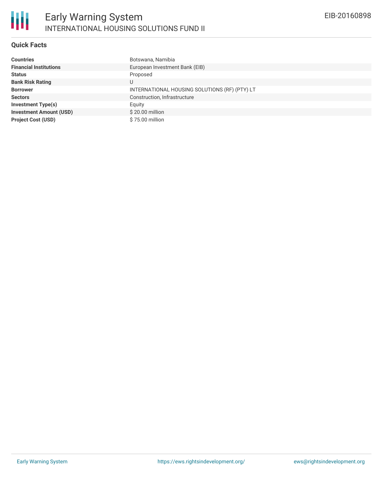

# **Quick Facts**

| <b>Countries</b>               | Botswana, Namibia                             |
|--------------------------------|-----------------------------------------------|
| <b>Financial Institutions</b>  | European Investment Bank (EIB)                |
| <b>Status</b>                  | Proposed                                      |
| <b>Bank Risk Rating</b>        | U                                             |
| <b>Borrower</b>                | INTERNATIONAL HOUSING SOLUTIONS (RF) (PTY) LT |
| <b>Sectors</b>                 | Construction, Infrastructure                  |
| <b>Investment Type(s)</b>      | Equity                                        |
| <b>Investment Amount (USD)</b> | \$20.00 million                               |
| <b>Project Cost (USD)</b>      | \$75.00 million                               |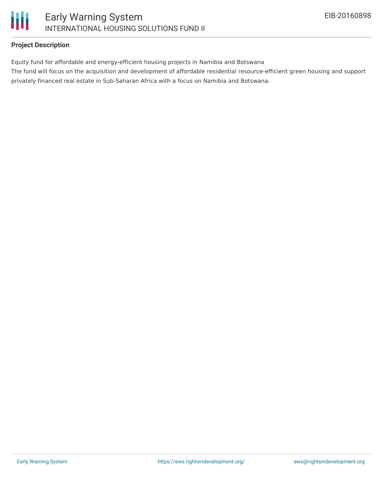

# **Project Description**

Equity fund for affordable and energy-efficient housing projects in Namibia and Botswana

The fund will focus on the acquisition and development of affordable residential resource-efficient green housing and support privately financed real estate in Sub-Saharan Africa with a focus on Namibia and Botswana.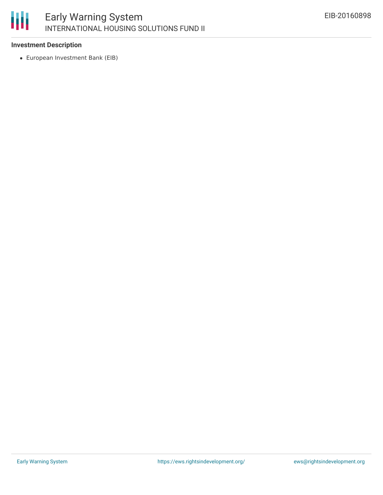### 冊 Early Warning System INTERNATIONAL HOUSING SOLUTIONS FUND II

#### **Investment Description**

European Investment Bank (EIB)